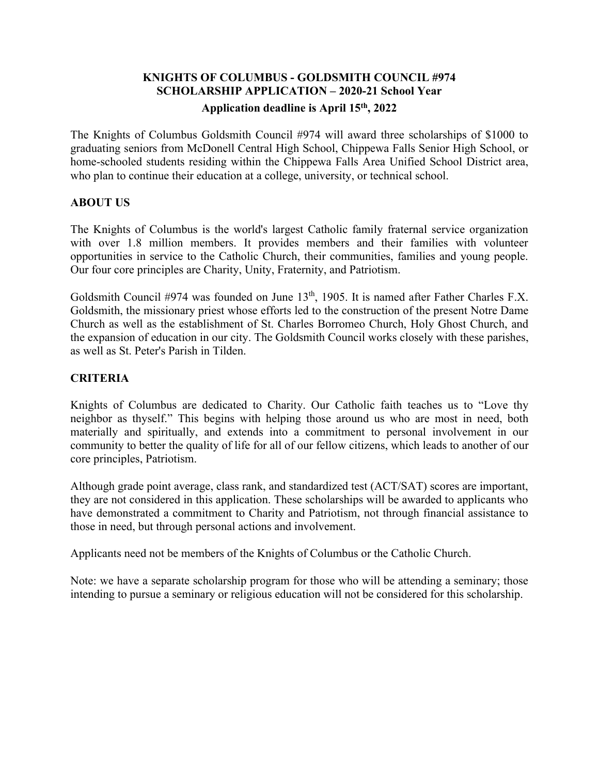# **KNIGHTS OF COLUMBUS - GOLDSMITH COUNCIL #974 SCHOLARSHIP APPLICATION – 2020-21 School Year**

# **Application deadline is April 15th, 2022**

The Knights of Columbus Goldsmith Council #974 will award three scholarships of \$1000 to graduating seniors from McDonell Central High School, Chippewa Falls Senior High School, or home-schooled students residing within the Chippewa Falls Area Unified School District area, who plan to continue their education at a college, university, or technical school.

# **ABOUT US**

The Knights of Columbus is the world's largest Catholic family fraternal service organization with over 1.8 million members. It provides members and their families with volunteer opportunities in service to the Catholic Church, their communities, families and young people. Our four core principles are Charity, Unity, Fraternity, and Patriotism.

Goldsmith Council #974 was founded on June 13<sup>th</sup>, 1905. It is named after Father Charles F.X. Goldsmith, the missionary priest whose efforts led to the construction of the present Notre Dame Church as well as the establishment of St. Charles Borromeo Church, Holy Ghost Church, and the expansion of education in our city. The Goldsmith Council works closely with these parishes, as well as St. Peter's Parish in Tilden.

# **CRITERIA**

Knights of Columbus are dedicated to Charity. Our Catholic faith teaches us to "Love thy neighbor as thyself." This begins with helping those around us who are most in need, both materially and spiritually, and extends into a commitment to personal involvement in our community to better the quality of life for all of our fellow citizens, which leads to another of our core principles, Patriotism.

Although grade point average, class rank, and standardized test (ACT/SAT) scores are important, they are not considered in this application. These scholarships will be awarded to applicants who have demonstrated a commitment to Charity and Patriotism, not through financial assistance to those in need, but through personal actions and involvement.

Applicants need not be members of the Knights of Columbus or the Catholic Church.

Note: we have a separate scholarship program for those who will be attending a seminary; those intending to pursue a seminary or religious education will not be considered for this scholarship.